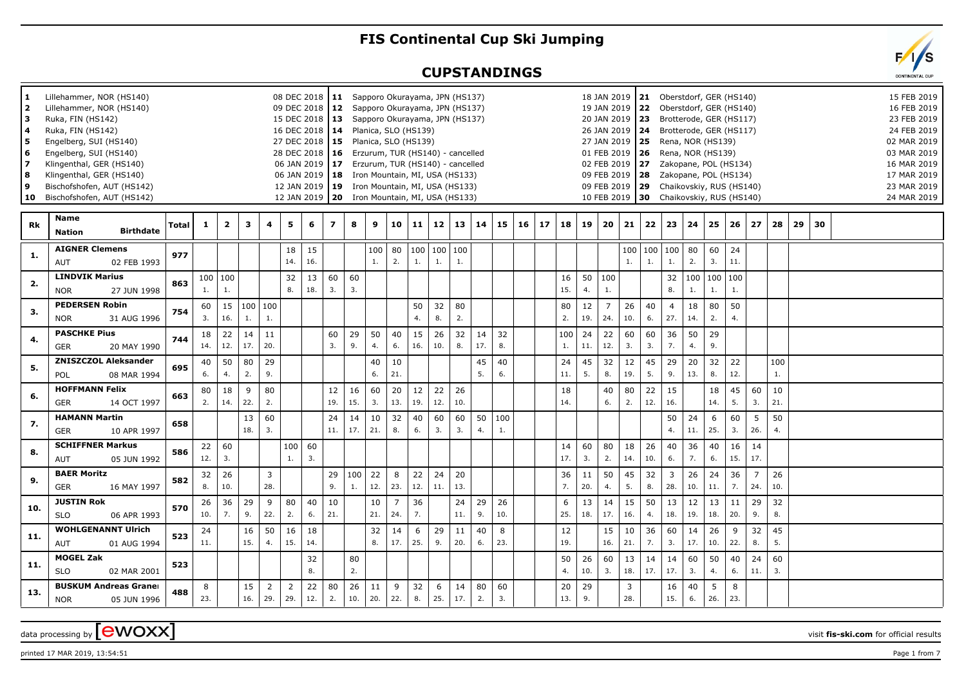## **FIS Continental Cup Ski Jumping**

## **CUPSTANDINGS**

| 1.<br>$\mathbf{2}$<br>з<br>4<br>5.<br>6<br>7<br>8<br>9<br>10 | Lillehammer, NOR (HS140)<br>Lillehammer, NOR (HS140)<br>Ruka, FIN (HS142)<br>Ruka, FIN (HS142)<br>Engelberg, SUI (HS140)<br>Engelberg, SUI (HS140)<br>Klingenthal, GER (HS140)<br>Klingenthal, GER (HS140)<br>Bischofshofen, AUT (HS142)<br>Bischofshofen, AUT (HS142) |       |              |                         |           |                        |                       | 08 DEC 2018   11 Sapporo Okurayama, JPN (HS137)<br>09 DEC 2018   12 Sapporo Okurayama, JPN (HS137)<br>15 DEC 2018   13 Sapporo Okurayama, JPN (HS137)<br>16 DEC 2018   14 Planica, SLO (HS139)<br>27 DEC 2018   15 Planica, SLO (HS139)<br>28 DEC 2018   16 Erzurum, TUR (HS140) - cancelled<br>06 JAN 2019   17 Erzurum, TUR (HS140) - cancelled<br>06 JAN 2019   18 Iron Mountain, MI, USA (HS133)<br>12 JAN 2019   19 Iron Mountain, MI, USA (HS133)<br>12 JAN 2019   20 Iron Mountain, MI, USA (HS133) |           |           |           |                       |           |                       |              |           |           |           |    |           |           | 18 JAN 2019<br>19 JAN 2019<br>20 JAN 2019<br>01 FEB 2019<br>10 FEB 2019 | 26 JAN 2019   24<br>27 JAN 2019   25<br>02 FEB 2019 27 |                   | 21 Oberstdorf, GER (HS140)<br>22 Oberstdorf, GER (HS140)<br>23 Brotterode, GER (HS117)<br>Brotterode, GER (HS117)<br>Rena, NOR (HS139)<br><b>26</b> Rena, NOR (HS139)<br>Zakopane, POL (HS134)<br>09 FEB 2019   28     Zakopane, POL (HS134)<br>09 FEB 2019   29 Chaikovskiy, RUS (HS140)<br>30 Chaikovskiy, RUS (HS140) |                       |           |           |                       |           |    |    |  | 15 FEB 2019<br>16 FEB 2019<br>23 FEB 2019<br>24 FEB 2019<br>02 MAR 2019<br>03 MAR 2019<br>16 MAR 2019<br>17 MAR 2019<br>23 MAR 2019<br>24 MAR 2019 |
|--------------------------------------------------------------|------------------------------------------------------------------------------------------------------------------------------------------------------------------------------------------------------------------------------------------------------------------------|-------|--------------|-------------------------|-----------|------------------------|-----------------------|------------------------------------------------------------------------------------------------------------------------------------------------------------------------------------------------------------------------------------------------------------------------------------------------------------------------------------------------------------------------------------------------------------------------------------------------------------------------------------------------------------|-----------|-----------|-----------|-----------------------|-----------|-----------------------|--------------|-----------|-----------|-----------|----|-----------|-----------|-------------------------------------------------------------------------|--------------------------------------------------------|-------------------|--------------------------------------------------------------------------------------------------------------------------------------------------------------------------------------------------------------------------------------------------------------------------------------------------------------------------|-----------------------|-----------|-----------|-----------------------|-----------|----|----|--|----------------------------------------------------------------------------------------------------------------------------------------------------|
| <b>Rk</b>                                                    | Name<br><b>Birthdate</b><br><b>Nation</b>                                                                                                                                                                                                                              | Total | $\mathbf{1}$ | $\overline{\mathbf{2}}$ | 3         | 4                      | 5                     | 6                                                                                                                                                                                                                                                                                                                                                                                                                                                                                                          | 7         | 8         | 9         | 10                    | 11        |                       | $12 \mid 13$ | 14        | 15        | $16 \mid$ | 17 | 18        | 19        | 20                                                                      | 21                                                     | 22                | 23                                                                                                                                                                                                                                                                                                                       | 24                    | 25        | 26        | 27                    | 28        | 29 | 30 |  |                                                                                                                                                    |
| 1.                                                           | <b>AIGNER Clemens</b><br>02 FEB 1993<br>AUT                                                                                                                                                                                                                            | 977   |              |                         |           |                        | 18<br>14.             | 15<br>16.                                                                                                                                                                                                                                                                                                                                                                                                                                                                                                  |           |           | 100<br>1. | 80<br>2.              | 1.        | 100   100   100<br>1. | 1.           |           |           |           |    |           |           |                                                                         | 100<br>1.                                              | $\vert$ 100<br>1. | 100<br>1.                                                                                                                                                                                                                                                                                                                | 80<br>2.              | 60<br>3.  | 24<br>11. |                       |           |    |    |  |                                                                                                                                                    |
| 2.                                                           | <b>LINDVIK Marius</b><br><b>NOR</b><br>27 JUN 1998                                                                                                                                                                                                                     | 863   | 1.           | 100 100<br>1.           |           |                        | 32<br>8.              | 13<br>18.                                                                                                                                                                                                                                                                                                                                                                                                                                                                                                  | 60<br>3.  | 60<br>3.  |           |                       |           |                       |              |           |           |           |    | 16<br>15. | 4.        | 50   100<br>$\mathbf{1}$ .                                              |                                                        |                   | 32<br>8.                                                                                                                                                                                                                                                                                                                 | 100   100   100<br>1. | 1.        | 1.        |                       |           |    |    |  |                                                                                                                                                    |
| 3.                                                           | <b>PEDERSEN Robin</b><br><b>NOR</b><br>31 AUG 1996                                                                                                                                                                                                                     | 754   | 60<br>3.     | 15<br>16.               | 1.        | 100 100<br>1.          |                       |                                                                                                                                                                                                                                                                                                                                                                                                                                                                                                            |           |           |           |                       | 50<br>4.  | 32<br>8.              | 80<br>2.     |           |           |           |    | 80<br>2.  | 12<br>19. | $\overline{7}$<br>24.                                                   | 26<br>10.                                              | 40<br>6.          | $\overline{4}$<br>27.                                                                                                                                                                                                                                                                                                    | 18<br>14.             | 80<br>2.  | 50<br>4.  |                       |           |    |    |  |                                                                                                                                                    |
| 4.                                                           | <b>PASCHKE Pius</b><br><b>GER</b><br>20 MAY 1990                                                                                                                                                                                                                       | 744   | 18<br>14.    | 22<br>12.               | 14<br>17. | 11<br>20.              |                       |                                                                                                                                                                                                                                                                                                                                                                                                                                                                                                            | 60<br>3.  | 29<br>9.  | 50<br>4.  | 40<br>6.              | 15<br>16. | 26<br>10.             | 32<br>8.     | 14<br>17. | 32<br>8.  |           |    | 100<br>1. | 24<br>11. | 22<br>12.                                                               | 60<br>3.                                               | 60<br>3.          | 36<br>7.                                                                                                                                                                                                                                                                                                                 | 50<br>4.              | 29<br>9.  |           |                       |           |    |    |  |                                                                                                                                                    |
| 5.                                                           | <b>ZNISZCZOL Aleksander</b><br><b>POL</b><br>08 MAR 1994                                                                                                                                                                                                               | 695   | 40<br>6.     | 50<br>4.                | 80<br>2.  | 29<br>9.               |                       |                                                                                                                                                                                                                                                                                                                                                                                                                                                                                                            |           |           | 40<br>6.  | 10<br>21.             |           |                       |              | 45<br>5.  | 40<br>6.  |           |    | 24<br>11. | 45<br>5.  | 32<br>8.                                                                | 12<br>19.                                              | 45<br>5.          | 29<br>9.                                                                                                                                                                                                                                                                                                                 | 20<br>13.             | 32<br>8.  | 22<br>12. |                       | 100<br>1. |    |    |  |                                                                                                                                                    |
| 6.                                                           | <b>HOFFMANN Felix</b><br><b>GER</b><br>14 OCT 1997                                                                                                                                                                                                                     | 663   | 80<br>2.     | 18<br>14.               | 9<br>22.  | 80<br>2.               |                       |                                                                                                                                                                                                                                                                                                                                                                                                                                                                                                            | 12<br>19. | 16<br>15. | 60<br>3.  | 20<br>13.             | 12<br>19. | 22<br>12.             | 26<br>10.    |           |           |           |    | 18<br>14. |           | 40<br>6.                                                                | 80<br>2.                                               | 22<br>12.         | 15<br>16.                                                                                                                                                                                                                                                                                                                |                       | 18<br>14. | 45<br>5.  | 60<br>3.              | 10<br>21. |    |    |  |                                                                                                                                                    |
| 7.                                                           | <b>HAMANN Martin</b><br><b>GER</b><br>10 APR 1997                                                                                                                                                                                                                      | 658   |              |                         | 13<br>18. | 60<br>$\overline{3}$ . |                       |                                                                                                                                                                                                                                                                                                                                                                                                                                                                                                            | 24<br>11. | 14<br>17. | 10<br>21. | 32<br>8.              | 40<br>6.  | 60<br>3.              | 60<br>3.     | 50<br>4.  | 100<br>1. |           |    |           |           |                                                                         |                                                        |                   | 50<br>4.                                                                                                                                                                                                                                                                                                                 | 24<br>11.             | 6<br>25.  | 60<br>3.  | 5<br>26.              | 50<br>4.  |    |    |  |                                                                                                                                                    |
| 8.                                                           | <b>SCHIFFNER Markus</b><br>AUT<br>05 JUN 1992                                                                                                                                                                                                                          | 586   | 22<br>12.    | 60<br>3.                |           |                        | 100<br>1.             | 60<br>$\overline{3}$ .                                                                                                                                                                                                                                                                                                                                                                                                                                                                                     |           |           |           |                       |           |                       |              |           |           |           |    | 14<br>17. | 60<br>3.  | 80<br>2.                                                                | 18<br>14.                                              | 26<br>10.         | 40<br>6.                                                                                                                                                                                                                                                                                                                 | 36<br>7.              | 40<br>6.  | 16<br>15. | 14<br>17.             |           |    |    |  |                                                                                                                                                    |
| 9.                                                           | <b>BAER Moritz</b><br>GER<br>16 MAY 1997                                                                                                                                                                                                                               | 582   | 32<br>8.     | 26<br>10.               |           | $\overline{3}$<br>28.  |                       |                                                                                                                                                                                                                                                                                                                                                                                                                                                                                                            | 29<br>9.  | 100<br>1. | 22<br>12. | 8<br>23.              | 22<br>12. | 24<br>11.             | 20<br>13.    |           |           |           |    | 36<br>7.  | 11<br>20. | 50<br>4.                                                                | 45<br>5.                                               | 32<br>8.          | 3 <sup>7</sup><br>28.                                                                                                                                                                                                                                                                                                    | 26<br>10.             | 24<br>11. | 36<br>7.  | $\overline{7}$<br>24. | 26<br>10. |    |    |  |                                                                                                                                                    |
| 10.                                                          | <b>JUSTIN Rok</b><br><b>SLO</b><br>06 APR 1993                                                                                                                                                                                                                         | 570   | 26<br>10.    | 36<br>7.                | 29<br>9.  | 9<br>22.               | 80<br>2.              | 40<br>6.                                                                                                                                                                                                                                                                                                                                                                                                                                                                                                   | 10<br>21. |           | 10<br>21. | $\overline{7}$<br>24. | 36<br>7.  |                       | 24<br>11.    | 29<br>9.  | 26<br>10. |           |    | 6<br>25.  | 13<br>18. | 14<br>17.                                                               | 15<br>16.                                              | 50<br>4.          | 13<br>18.                                                                                                                                                                                                                                                                                                                | 12<br>19.             | 13<br>18. | 11<br>20. | 29<br>9.              | 32<br>8.  |    |    |  |                                                                                                                                                    |
| 11.                                                          | <b>WOHLGENANNT Ulrich</b><br>AUT<br>01 AUG 1994                                                                                                                                                                                                                        | 523   | 24<br>11.    |                         | 16<br>15. | 50<br>4.               | 16<br>15.             | 18<br>14.                                                                                                                                                                                                                                                                                                                                                                                                                                                                                                  |           |           | 32<br>8.  | 14<br>17.             | 6<br>25.  | 29<br>9.              | 11<br>20.    | 40<br>6.  | 8<br>23.  |           |    | 12<br>19. |           | 15<br>16.                                                               | 10<br>21.                                              | 36<br>7.          | 60<br>3.                                                                                                                                                                                                                                                                                                                 | 14<br>17.             | 26<br>10. | 9<br>22.  | 32<br>8.              | 45<br>5.  |    |    |  |                                                                                                                                                    |
| 11.                                                          | <b>MOGEL Zak</b><br><b>SLO</b><br>02 MAR 2001                                                                                                                                                                                                                          | 523   |              |                         |           |                        |                       | 32<br>8.                                                                                                                                                                                                                                                                                                                                                                                                                                                                                                   |           | 80<br>2.  |           |                       |           |                       |              |           |           |           |    | 50<br>4.  | 26<br>10. | 60<br>3.                                                                | 13<br>18.                                              | 14<br>17.         | 14<br>17.                                                                                                                                                                                                                                                                                                                | 60<br>3.              | 50<br>4.  | 40<br>6.  | 24<br>11.             | 60<br>3.  |    |    |  |                                                                                                                                                    |
| 13.                                                          | <b>BUSKUM Andreas Graner</b><br><b>NOR</b><br>05 JUN 1996                                                                                                                                                                                                              | 488   | 8<br>23.     |                         | 15<br>16. | 2<br>29.               | $\overline{2}$<br>29. | 22<br>12.                                                                                                                                                                                                                                                                                                                                                                                                                                                                                                  | 80<br>2.  | 26<br>10. | 11<br>20. | 9<br>22.              | 32<br>8.  | 6<br>25.              | 14<br>17.    | 80<br>2.  | 60<br>3.  |           |    | 20<br>13. | 29<br>9.  |                                                                         | 3<br>28.                                               |                   | 16<br>15.                                                                                                                                                                                                                                                                                                                | 40<br>6.              | 5<br>26.  | 8<br>23.  |                       |           |    |    |  |                                                                                                                                                    |

data processing by **CWOXX** wisit **fis-ski.com** for official results

 $p$ rinted 17 MAR 2019, 13:54:51  $p$ age 1 from 7

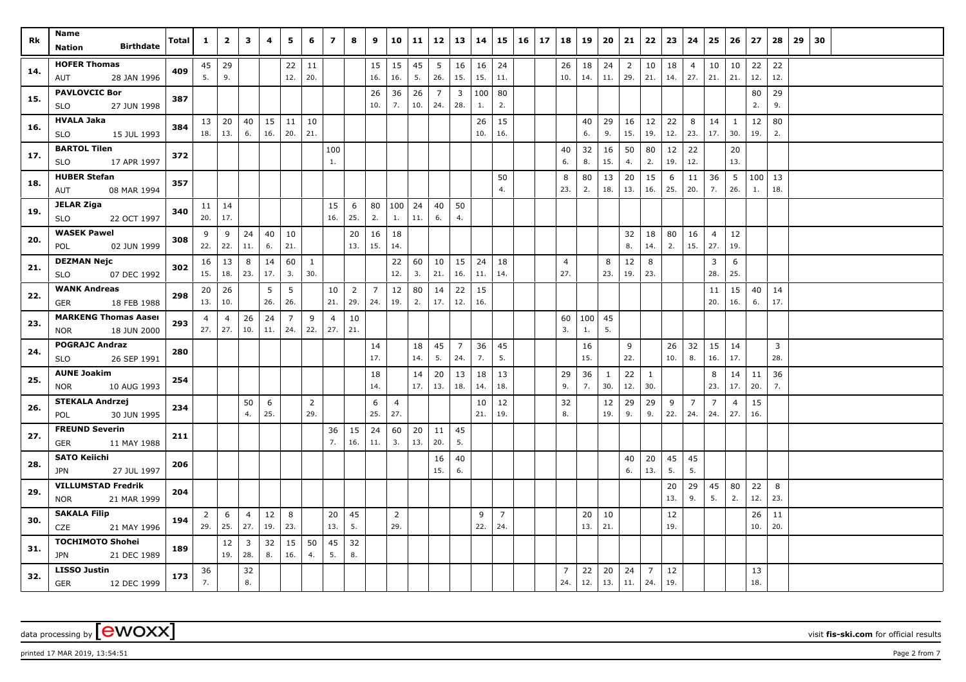| Rk  | Name<br><b>Birthdate</b><br><b>Nation</b>                | Total | $\mathbf{1}$          | $\overline{2}$        | 3                              | 4         | 5                     | 6                     | $\overline{ }$        | 8                     | 9         | 10                    | 11        | 12                    | 13                             | 14        | 15                    | $16 \mid 17$ | 18                    | 19        | 20                  | 21                    | 22                    | 23        | 24                    | 25                    | 26                    | 27                        | 28                    | 29 | 30 |  |  |  |
|-----|----------------------------------------------------------|-------|-----------------------|-----------------------|--------------------------------|-----------|-----------------------|-----------------------|-----------------------|-----------------------|-----------|-----------------------|-----------|-----------------------|--------------------------------|-----------|-----------------------|--------------|-----------------------|-----------|---------------------|-----------------------|-----------------------|-----------|-----------------------|-----------------------|-----------------------|---------------------------|-----------------------|----|----|--|--|--|
| 14. | <b>HOFER Thomas</b><br>28 JAN 1996<br>AUT                | 409   | 5.                    | $45 \mid 29$<br>9.    |                                |           | 22<br>12.             | 11<br>20.             |                       |                       | 15<br>16. | 15<br>16.             | 45<br>5.  | 5<br>26.              | 16<br>15.                      | 16<br>15. | 24<br>11.             |              | 26<br>10.             | 18<br>14. | 24<br>11.           | $\overline{2}$<br>29. | 10<br>21.             | 18<br>14. | $\overline{4}$<br>27. | 10<br>21.             | 10<br>21.             | 22<br>12.                 | 22<br>12.             |    |    |  |  |  |
| 15. | <b>PAVLOVCIC Bor</b><br>27 JUN 1998<br>SLO               | 387   |                       |                       |                                |           |                       |                       |                       |                       | 26<br>10. | 36<br>7.              | 26<br>10. | $\overline{7}$<br>24. | $\overline{\mathbf{3}}$<br>28. | 100<br>1. | 80<br>2.              |              |                       |           |                     |                       |                       |           |                       |                       |                       | 80<br>2.                  | 29<br>9.              |    |    |  |  |  |
| 16. | <b>HVALA Jaka</b><br>SLO<br>15 JUL 1993                  | 384   | 18.                   | $13 \mid 20$<br>13.   | 40<br>6.                       | 15<br>16. | 11<br>20.             | 10<br>21.             |                       |                       |           |                       |           |                       |                                | 26<br>10. | 15<br>16.             |              |                       | 40<br>6.  | 29<br>9.            | 16<br>15.             | 12<br>19.             | 22<br>12. | 8<br>23.              | 14<br>17.             | <sup>1</sup><br>30.   | 12<br>19.                 | 80<br>2.              |    |    |  |  |  |
| 17. | <b>BARTOL Tilen</b><br>17 APR 1997<br><b>SLO</b>         | 372   |                       |                       |                                |           |                       |                       | 100<br>1.             |                       |           |                       |           |                       |                                |           |                       |              | 40<br>6.              | 32<br>8.  | 16<br>15.           | 50<br>4.              | 80<br>2.              | 12<br>19. | 22<br>12.             |                       | 20<br>13.             |                           |                       |    |    |  |  |  |
| 18. | <b>HUBER Stefan</b><br>08 MAR 1994<br>AUT                | 357   |                       |                       |                                |           |                       |                       |                       |                       |           |                       |           |                       |                                |           | 50<br>4.              |              | 8<br>23.              | 80<br>2.  | 13<br>18.           | 20<br>13.             | 15<br>16.             | 6<br>25.  | 11<br>20.             | 36<br>7.              | 5<br>26.              | $\vert$ 100 $\vert$<br>1. | 13<br>18.             |    |    |  |  |  |
| 19. | <b>JELAR Ziga</b><br>22 OCT 1997<br><b>SLO</b>           | 340   | 20.                   | $11 \mid 14$<br>17.   |                                |           |                       |                       | 15<br>16.             | 6<br>25.              | 80<br>2.  | 100<br>1.             | 24<br>11. | 40<br>6.              | 50<br>4.                       |           |                       |              |                       |           |                     |                       |                       |           |                       |                       |                       |                           |                       |    |    |  |  |  |
| 20. | <b>WASEK Pawel</b><br>POL<br>02 JUN 1999                 | 308   | 9<br>22.              | 9<br>22.              | 24<br>11.                      | 40<br>6.  | 10<br>21.             |                       |                       | 20<br>13.             | 16<br>15. | 18<br>14.             |           |                       |                                |           |                       |              |                       |           |                     | 32<br>8.              | 18<br>14.             | 80<br>2.  | 16<br>15.             | $\overline{4}$<br>27. | 12<br>19.             |                           |                       |    |    |  |  |  |
| 21. | <b>DEZMAN Nejc</b><br><b>SLO</b><br>07 DEC 1992          | 302   | 16<br>15.             | 13<br>18.             | 8<br>23.                       | 14<br>17. | 60<br>3.              | $\mathbf{1}$<br>30.   |                       |                       |           | 22<br>12.             | 60<br>3.  | 10<br>21.             | 15<br>16.                      | 24<br>11. | 18<br>14.             |              | 4<br>27.              |           | 8<br>23.            | 12<br>19.             | 8<br>23.              |           |                       | 3<br>28.              | 6<br>25.              |                           |                       |    |    |  |  |  |
| 22. | <b>WANK Andreas</b><br><b>GER</b><br>18 FEB 1988         | 298   | 20<br>13.             | 26<br>10.             |                                | 5<br>26.  | - 5<br>26.            |                       | 10<br>21.             | $\overline{2}$<br>29. | 7<br>24.  | 12<br>19.             | 80<br>2.  | 14<br>17.             | 22<br>12.                      | 15<br>16. |                       |              |                       |           |                     |                       |                       |           |                       | 11<br>20.             | 15<br>16.             | 40<br>6.                  | 14<br>17.             |    |    |  |  |  |
| 23. | <b>MARKENG Thomas Aaser</b><br>18 JUN 2000<br><b>NOR</b> | 293   | $\overline{4}$<br>27. | $\overline{4}$<br>27. | 26<br>10.                      | 24<br>11. | $\overline{7}$<br>24. | 9<br>22.              | $\overline{4}$<br>27. | 10<br>21.             |           |                       |           |                       |                                |           |                       |              | 60<br>3.              | 100<br>1. | 45<br>5.            |                       |                       |           |                       |                       |                       |                           |                       |    |    |  |  |  |
| 24. | <b>POGRAJC Andraz</b><br>26 SEP 1991<br><b>SLO</b>       | 280   |                       |                       |                                |           |                       |                       |                       |                       | 14<br>17. |                       | 18<br>14. | 45<br>5.              | $\overline{7}$<br>24.          | 36<br>7.  | 45<br>5.              |              |                       | 16<br>15. |                     | 9<br>22.              |                       | 26<br>10. | 32<br>8.              | 15<br>16.             | 14<br>17.             |                           | $\overline{3}$<br>28. |    |    |  |  |  |
| 25. | <b>AUNE Joakim</b><br>10 AUG 1993<br>NOR                 | 254   |                       |                       |                                |           |                       |                       |                       |                       | 18<br>14. |                       | 14<br>17. | 20<br>13.             | 13<br>18.                      | 18<br>14. | 13<br>18.             |              | 29<br>9.              | 36<br>7.  | <sup>1</sup><br>30. | 22<br>12.             | $\mathbf{1}$<br>30.   |           |                       | 8<br>23.              | 14<br>17.             | 11<br>20.                 | 36<br>7.              |    |    |  |  |  |
| 26. | <b>STEKALA Andrzej</b><br>30 JUN 1995<br>POL             | 234   |                       |                       | 50<br>4.                       | 6<br>25.  |                       | $\overline{2}$<br>29. |                       |                       | 6<br>25.  | 4<br>27.              |           |                       |                                | 10<br>21. | 12<br>19.             |              | 32<br>8.              |           | 12<br>19.           | 29<br>9.              | 29<br>9.              | 9<br>22.  | 7<br>24.              | $\overline{7}$<br>24. | $\overline{4}$<br>27. | 15<br>16.                 |                       |    |    |  |  |  |
| 27. | <b>FREUND Severin</b><br><b>GER</b><br>11 MAY 1988       | 211   |                       |                       |                                |           |                       |                       | 36<br>7.              | 15<br>16.             | 24<br>11. | 60<br>3.              | 20<br>13. | 11<br>20.             | 45<br>5.                       |           |                       |              |                       |           |                     |                       |                       |           |                       |                       |                       |                           |                       |    |    |  |  |  |
| 28. | <b>SATO Keiichi</b><br>27 JUL 1997<br>JPN                | 206   |                       |                       |                                |           |                       |                       |                       |                       |           |                       |           | 16<br>15.             | 40<br>6.                       |           |                       |              |                       |           |                     | 40<br>6.              | 20<br>13.             | 45<br>5.  | 45<br>5.              |                       |                       |                           |                       |    |    |  |  |  |
| 29. | <b>VILLUMSTAD Fredrik</b><br>21 MAR 1999<br><b>NOR</b>   | 204   |                       |                       |                                |           |                       |                       |                       |                       |           |                       |           |                       |                                |           |                       |              |                       |           |                     |                       |                       | 20<br>13. | 29<br>9.              | 45<br>5.              | 80<br>2.              | 22<br>12.                 | 8<br>23.              |    |    |  |  |  |
| 30. | <b>SAKALA Filip</b><br>CZE<br>21 MAY 1996                | 194   | $\overline{2}$<br>29. | 6<br>25.              | $\overline{4}$<br>27.          | 12<br>19. | 8<br>23.              |                       | 20<br>13.             | 45<br>5.              |           | $\overline{2}$<br>29. |           |                       |                                | 9<br>22.  | $\overline{7}$<br>24. |              |                       | 20<br>13. | 10<br>21.           |                       |                       | 12<br>19. |                       |                       |                       | 26<br>10.                 | 11<br>20.             |    |    |  |  |  |
| 31. | <b>TOCHIMOTO Shohei</b><br><b>JPN</b><br>21 DEC 1989     | 189   |                       | 12<br>19.             | $\overline{\mathbf{3}}$<br>28. | 32<br>8.  | 15<br>16.             | 50<br>4.              | 45<br>5.              | 32<br>8.              |           |                       |           |                       |                                |           |                       |              |                       |           |                     |                       |                       |           |                       |                       |                       |                           |                       |    |    |  |  |  |
| 32. | <b>LISSO Justin</b><br><b>GER</b><br>12 DEC 1999         | 173   | 36<br>7.              |                       | 32<br>8.                       |           |                       |                       |                       |                       |           |                       |           |                       |                                |           |                       |              | $\overline{7}$<br>24. | 22<br>12. | 20<br>13.           | 24<br>11.             | $\overline{7}$<br>24. | 12<br>19. |                       |                       |                       | 13<br>18.                 |                       |    |    |  |  |  |

 $p$ rinted 17 MAR 2019, 13:54:51  $p$ age 2 from 7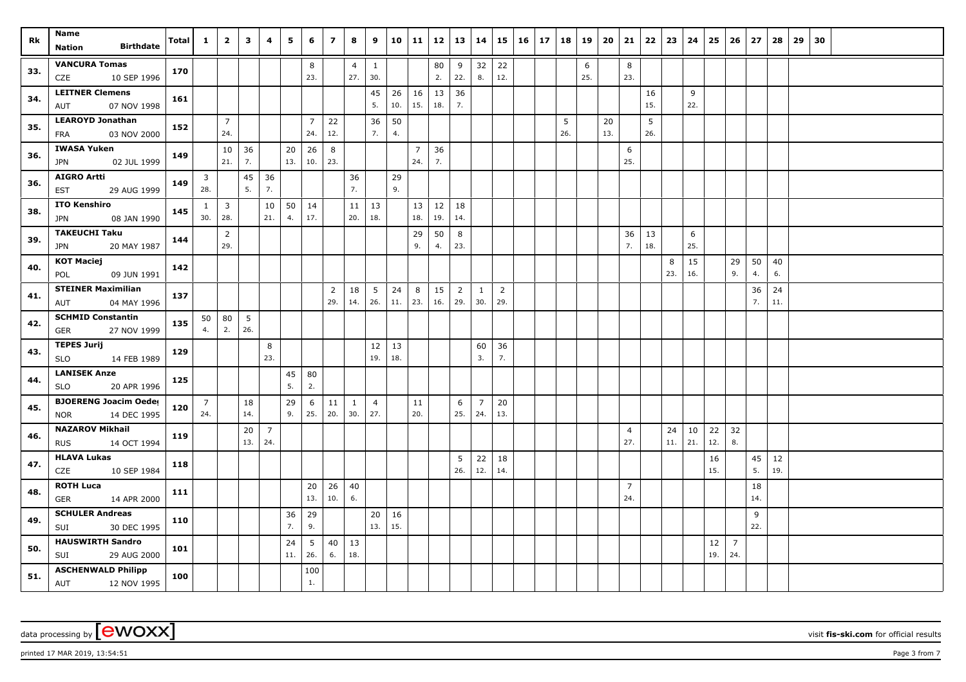| Rk  | Name<br><b>Birthdate</b>                        | Total | $\mathbf{1}$   | $\overline{2}$     | $\mathbf{3}$ | 4              | 5   | 6                     | $\overline{z}$ | 8              | 9               | 10        | 11             | 12        | 13             | 14             |                | $15 \mid 16 \mid$ | 17 | 18  | 19       | 20        | 21             | 22        | 23  | 24       | 25  | 26             | 27  | 28  | 29 | 30 |  |  |
|-----|-------------------------------------------------|-------|----------------|--------------------|--------------|----------------|-----|-----------------------|----------------|----------------|-----------------|-----------|----------------|-----------|----------------|----------------|----------------|-------------------|----|-----|----------|-----------|----------------|-----------|-----|----------|-----|----------------|-----|-----|----|----|--|--|
|     | Nation                                          |       |                |                    |              |                |     |                       |                |                |                 |           |                |           |                |                |                |                   |    |     |          |           |                |           |     |          |     |                |     |     |    |    |  |  |
| 33. | <b>VANCURA Tomas</b>                            | 170   |                |                    |              |                |     | 8                     |                | $\overline{4}$ | $\mathbf{1}$    |           |                | 80<br>2.  | 9              | 32             | 22<br>12.      |                   |    |     | 6<br>25. |           | 8<br>23.       |           |     |          |     |                |     |     |    |    |  |  |
|     | 10 SEP 1996<br>CZE                              |       |                |                    |              |                |     | 23.                   |                | 27.            | 30.             |           |                |           | 22.            | 8.             |                |                   |    |     |          |           |                |           |     |          |     |                |     |     |    |    |  |  |
| 34. | <b>LEITNER Clemens</b><br>07 NOV 1998<br>AUT    | 161   |                |                    |              |                |     |                       |                |                | 45<br>5.        | 26<br>10. | 16<br>15.      | 13<br>18. | 36<br>7.       |                |                |                   |    |     |          |           |                | 16<br>15. |     | 9<br>22. |     |                |     |     |    |    |  |  |
|     | <b>LEAROYD Jonathan</b>                         |       |                | $\overline{7}$     |              |                |     |                       |                |                |                 |           |                |           |                |                |                |                   |    | 5   |          |           |                | 5         |     |          |     |                |     |     |    |    |  |  |
| 35. | 03 NOV 2000<br><b>FRA</b>                       | 152   |                | 24.                |              |                |     | $\overline{7}$<br>24. | 22<br>12.      |                | 36<br>7.        | 50<br>4.  |                |           |                |                |                |                   |    | 26. |          | 20<br>13. |                | 26.       |     |          |     |                |     |     |    |    |  |  |
|     | <b>IWASA Yuken</b>                              |       |                | 10                 | 36           |                | 20  | 26                    | 8              |                |                 |           | $\overline{7}$ | 36        |                |                |                |                   |    |     |          |           | 6              |           |     |          |     |                |     |     |    |    |  |  |
| 36. | 02 JUL 1999<br><b>JPN</b>                       | 149   |                | 21.                | 7.           |                | 13. | 10.                   | 23.            |                |                 |           | 24.            | 7.        |                |                |                |                   |    |     |          |           | 25.            |           |     |          |     |                |     |     |    |    |  |  |
|     | <b>AIGRO Artti</b>                              |       | 3              |                    | 45           | 36             |     |                       |                | 36             |                 | 29        |                |           |                |                |                |                   |    |     |          |           |                |           |     |          |     |                |     |     |    |    |  |  |
| 36. | 29 AUG 1999<br><b>EST</b>                       | 149   | 28.            |                    | 5.           | 7.             |     |                       |                | 7.             |                 | 9.        |                |           |                |                |                |                   |    |     |          |           |                |           |     |          |     |                |     |     |    |    |  |  |
| 38. | <b>ITO Kenshiro</b>                             | 145   | $\mathbf{1}$   | $\overline{3}$     |              | 10             | 50  | 14                    |                |                | $11 \mid 13$    |           | 13             | 12        | 18             |                |                |                   |    |     |          |           |                |           |     |          |     |                |     |     |    |    |  |  |
|     | 08 JAN 1990<br>JPN                              |       | 30.            | 28.                |              | 21.            | 4.  | 17.                   |                | 20.            | 18.             |           | 18.            | 19.       | 14.            |                |                |                   |    |     |          |           |                |           |     |          |     |                |     |     |    |    |  |  |
| 39. | <b>TAKEUCHI Taku</b>                            | 144   |                | $\overline{2}$     |              |                |     |                       |                |                |                 |           | 29             | 50        | 8              |                |                |                   |    |     |          |           | 36             | 13        |     | 6        |     |                |     |     |    |    |  |  |
|     | 20 MAY 1987<br><b>JPN</b>                       |       |                | 29.                |              |                |     |                       |                |                |                 |           | 9.             | 4.        | 23.            |                |                |                   |    |     |          |           | 7.             | 18.       |     | 25.      |     |                |     |     |    |    |  |  |
| 40. | <b>KOT Maciej</b>                               | 142   |                |                    |              |                |     |                       |                |                |                 |           |                |           |                |                |                |                   |    |     |          |           |                |           | 8   | 15       |     | 29             | 50  | 40  |    |    |  |  |
|     | POL<br>09 JUN 1991                              |       |                |                    |              |                |     |                       |                |                |                 |           |                |           |                |                |                |                   |    |     |          |           |                |           | 23. | 16.      |     | 9.             | 4.  | 6.  |    |    |  |  |
| 41. | <b>STEINER Maximilian</b>                       | 137   |                |                    |              |                |     |                       | $\overline{2}$ | 18             | $5\overline{5}$ | 24        | 8              | 15        | $\overline{2}$ | 1              | $\overline{2}$ |                   |    |     |          |           |                |           |     |          |     |                | 36  | 24  |    |    |  |  |
|     | 04 MAY 1996<br>AUT                              |       |                |                    |              |                |     |                       | 29.            | 14.            | 26.             | 11.       | 23.            | 16.       | 29.            | 30.            | 29.            |                   |    |     |          |           |                |           |     |          |     |                | 7.  | 11. |    |    |  |  |
| 42. | <b>SCHMID Constantin</b><br>27 NOV 1999         | 135   | 4.             | $50 \mid 80$<br>2. | 5<br>26.     |                |     |                       |                |                |                 |           |                |           |                |                |                |                   |    |     |          |           |                |           |     |          |     |                |     |     |    |    |  |  |
|     | <b>GER</b><br><b>TEPES Jurij</b>                |       |                |                    |              |                |     |                       |                |                |                 |           |                |           |                |                |                |                   |    |     |          |           |                |           |     |          |     |                |     |     |    |    |  |  |
| 43. | <b>SLO</b><br>14 FEB 1989                       | 129   |                |                    |              | 8<br>23.       |     |                       |                |                | 12<br>19.       | 13<br>18. |                |           |                | 60<br>3.       | 36<br>7.       |                   |    |     |          |           |                |           |     |          |     |                |     |     |    |    |  |  |
|     | <b>LANISEK Anze</b>                             |       |                |                    |              |                | 45  | 80                    |                |                |                 |           |                |           |                |                |                |                   |    |     |          |           |                |           |     |          |     |                |     |     |    |    |  |  |
| 44. | 20 APR 1996<br><b>SLO</b>                       | 125   |                |                    |              |                | 5.  | 2.                    |                |                |                 |           |                |           |                |                |                |                   |    |     |          |           |                |           |     |          |     |                |     |     |    |    |  |  |
|     | <b>BJOERENG Joacim Oeder</b>                    |       | $\overline{7}$ |                    | 18           |                | 29  | 6                     | 11             | $\mathbf{1}$   | $\overline{4}$  |           | 11             |           | 6              | $\overline{7}$ | 20             |                   |    |     |          |           |                |           |     |          |     |                |     |     |    |    |  |  |
| 45. | 14 DEC 1995<br><b>NOR</b>                       | 120   | 24.            |                    | 14.          |                | 9.  | 25.                   | 20.            | 30.            | 27.             |           | 20.            |           | 25.            | 24.            | 13.            |                   |    |     |          |           |                |           |     |          |     |                |     |     |    |    |  |  |
|     | <b>NAZAROV Mikhail</b>                          |       |                |                    | 20           | $\overline{7}$ |     |                       |                |                |                 |           |                |           |                |                |                |                   |    |     |          |           | $\overline{4}$ |           | 24  | 10       | 22  | 32             |     |     |    |    |  |  |
| 46. | 14 OCT 1994<br><b>RUS</b>                       | 119   |                |                    | 13.          | 24.            |     |                       |                |                |                 |           |                |           |                |                |                |                   |    |     |          |           | 27.            |           | 11. | 21.      | 12. | 8.             |     |     |    |    |  |  |
| 47. | <b>HLAVA Lukas</b>                              | 118   |                |                    |              |                |     |                       |                |                |                 |           |                |           | 5              | 22             | 18             |                   |    |     |          |           |                |           |     |          | 16  |                | 45  | 12  |    |    |  |  |
|     | 10 SEP 1984<br>CZE                              |       |                |                    |              |                |     |                       |                |                |                 |           |                |           | 26.            | 12.            | 14.            |                   |    |     |          |           |                |           |     |          | 15. |                | 5.  | 19. |    |    |  |  |
| 48. | <b>ROTH Luca</b>                                | 111   |                |                    |              |                |     | 20                    | 26             | 40             |                 |           |                |           |                |                |                |                   |    |     |          |           | $\overline{7}$ |           |     |          |     |                | 18  |     |    |    |  |  |
|     | <b>GER</b><br>14 APR 2000                       |       |                |                    |              |                |     | 13.                   | 10.            | 6.             |                 |           |                |           |                |                |                |                   |    |     |          |           | 24.            |           |     |          |     |                | 14. |     |    |    |  |  |
| 49. | <b>SCHULER Andreas</b>                          | 110   |                |                    |              |                | 36  | 29                    |                |                | 20              | 16        |                |           |                |                |                |                   |    |     |          |           |                |           |     |          |     |                | 9   |     |    |    |  |  |
|     | 30 DEC 1995<br>SUI                              |       |                |                    |              |                | 7.  | 9.                    |                |                | 13.             | 15.       |                |           |                |                |                |                   |    |     |          |           |                |           |     |          |     |                | 22. |     |    |    |  |  |
| 50. | <b>HAUSWIRTH Sandro</b>                         | 101   |                |                    |              |                | 24  | 5                     | 40             | 13             |                 |           |                |           |                |                |                |                   |    |     |          |           |                |           |     |          | 12  | $\overline{7}$ |     |     |    |    |  |  |
|     | SUI<br>29 AUG 2000                              |       |                |                    |              |                | 11. | 26.                   | 6.             | 18.            |                 |           |                |           |                |                |                |                   |    |     |          |           |                |           |     |          | 19. | 24.            |     |     |    |    |  |  |
| 51. | <b>ASCHENWALD Philipp</b><br>12 NOV 1995<br>AUT | 100   |                |                    |              |                |     | 100<br>$1.$           |                |                |                 |           |                |           |                |                |                |                   |    |     |          |           |                |           |     |          |     |                |     |     |    |    |  |  |

 $p$ rinted 17 MAR 2019, 13:54:51  $p$ age 3 from 7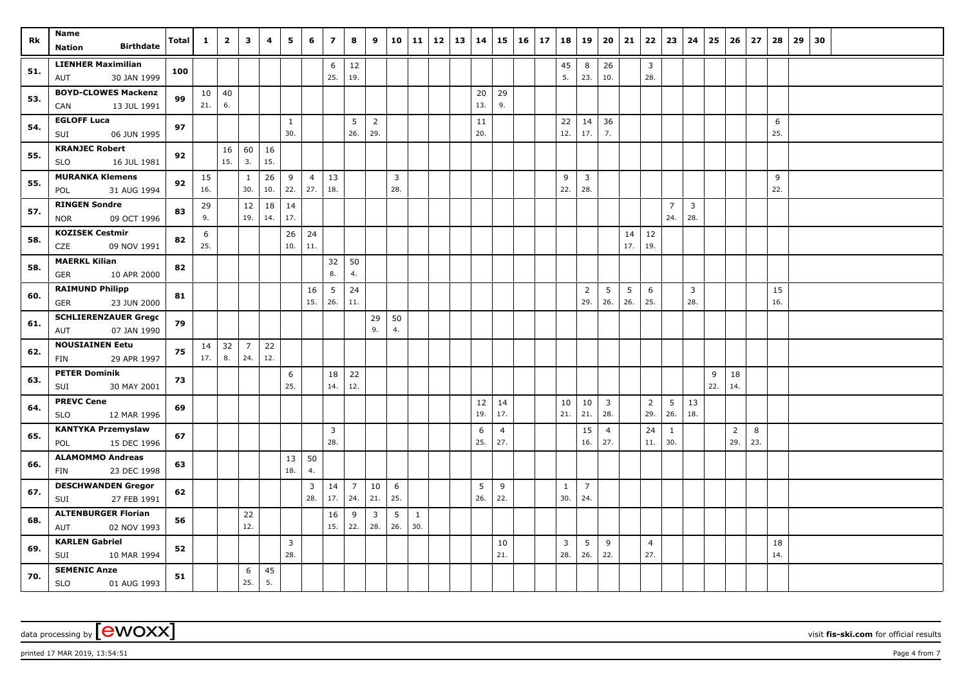| Rk  | Name<br><b>Birthdate</b><br><b>Nation</b>           | Total | $\mathbf{1}$    | $\overline{2}$ | 3              | 4   | 5              | 6                     | $\overline{\mathbf{z}}$ | 8                           | 9              | 10             | 11           | 12 | 13 | 14        |                | $15 \mid 16$ | 17 | 18       | 19                      | 20                      | 21       |                       | $22 \mid 23$    | 24           | 25  | 26             | 27  | 28        | 29 30 |  |  |
|-----|-----------------------------------------------------|-------|-----------------|----------------|----------------|-----|----------------|-----------------------|-------------------------|-----------------------------|----------------|----------------|--------------|----|----|-----------|----------------|--------------|----|----------|-------------------------|-------------------------|----------|-----------------------|-----------------|--------------|-----|----------------|-----|-----------|-------|--|--|
|     |                                                     |       |                 |                |                |     |                |                       |                         |                             |                |                |              |    |    |           |                |              |    |          |                         |                         |          |                       |                 |              |     |                |     |           |       |  |  |
| 51. | <b>LIENHER Maximilian</b><br>30 JAN 1999<br>AUT     | 100   |                 |                |                |     |                |                       | 6<br>25.                | 12<br>19.                   |                |                |              |    |    |           |                |              |    | 45<br>5. | 8<br>23.                | 26<br>10.               |          | $\overline{3}$<br>28. |                 |              |     |                |     |           |       |  |  |
|     | <b>BOYD-CLOWES Mackenzi</b>                         |       | 10 <sup>1</sup> | 40             |                |     |                |                       |                         |                             |                |                |              |    |    |           |                |              |    |          |                         |                         |          |                       |                 |              |     |                |     |           |       |  |  |
| 53. | 13 JUL 1991<br>CAN                                  | 99    | 21.             | 6.             |                |     |                |                       |                         |                             |                |                |              |    |    | 20<br>13. | 29<br>9.       |              |    |          |                         |                         |          |                       |                 |              |     |                |     |           |       |  |  |
|     | <b>EGLOFF Luca</b>                                  |       |                 |                |                |     | $\mathbf{1}$   |                       |                         | 5                           | $\overline{2}$ |                |              |    |    | 11        |                |              |    | 22       | 14                      | 36                      |          |                       |                 |              |     |                |     | 6         |       |  |  |
| 54. | SUI<br>06 JUN 1995                                  | 97    |                 |                |                |     | 30.            |                       |                         | 26.                         | 29.            |                |              |    |    | 20.       |                |              |    | 12.      | 17.                     | 7.                      |          |                       |                 |              |     |                |     | 25.       |       |  |  |
|     | <b>KRANJEC Robert</b>                               |       |                 | 16             | 60             | 16  |                |                       |                         |                             |                |                |              |    |    |           |                |              |    |          |                         |                         |          |                       |                 |              |     |                |     |           |       |  |  |
| 55. | <b>SLO</b><br>16 JUL 1981                           | 92    |                 | 15.            | 3.             | 15. |                |                       |                         |                             |                |                |              |    |    |           |                |              |    |          |                         |                         |          |                       |                 |              |     |                |     |           |       |  |  |
| 55. | <b>MURANKA Klemens</b>                              | 92    | 15              |                | $\mathbf{1}$   | 26  | 9              | $\overline{4}$        | 13                      |                             |                | $\overline{3}$ |              |    |    |           |                |              |    | 9        | $\overline{\mathbf{3}}$ |                         |          |                       |                 |              |     |                |     | 9         |       |  |  |
|     | 31 AUG 1994<br>POL                                  |       | 16.             |                | 30.            | 10. | 22.            | 27.                   | 18.                     |                             |                | 28.            |              |    |    |           |                |              |    | 22.      | 28.                     |                         |          |                       |                 |              |     |                |     | 22.       |       |  |  |
| 57. | <b>RINGEN Sondre</b>                                | 83    | 29              |                | 12             | 18  | 14             |                       |                         |                             |                |                |              |    |    |           |                |              |    |          |                         |                         |          |                       | $\overline{7}$  | $\mathbf{3}$ |     |                |     |           |       |  |  |
|     | <b>NOR</b><br>09 OCT 1996                           |       | 9.              |                | 19.            | 14. | 17.            |                       |                         |                             |                |                |              |    |    |           |                |              |    |          |                         |                         |          |                       | 24.             | 28.          |     |                |     |           |       |  |  |
| 58. | <b>KOZISEK Cestmir</b>                              | 82    | 6               |                |                |     | 26             | 24                    |                         |                             |                |                |              |    |    |           |                |              |    |          |                         |                         | 14       | 12                    |                 |              |     |                |     |           |       |  |  |
|     | CZE<br>09 NOV 1991                                  |       | 25.             |                |                |     | 10.            | 11.                   |                         |                             |                |                |              |    |    |           |                |              |    |          |                         |                         | 17.      | 19.                   |                 |              |     |                |     |           |       |  |  |
| 58. | <b>MAERKL Kilian</b>                                | 82    |                 |                |                |     |                |                       | 32<br>8.                | 50<br>4.                    |                |                |              |    |    |           |                |              |    |          |                         |                         |          |                       |                 |              |     |                |     |           |       |  |  |
|     | 10 APR 2000<br><b>GER</b><br><b>RAIMUND Philipp</b> |       |                 |                |                |     |                |                       |                         |                             |                |                |              |    |    |           |                |              |    |          |                         |                         |          |                       |                 |              |     |                |     |           |       |  |  |
| 60. | 23 JUN 2000<br>GER                                  | 81    |                 |                |                |     |                | 16<br>15.             | 5<br>26.                | 24<br>11.                   |                |                |              |    |    |           |                |              |    |          | $\overline{2}$<br>29.   | 5<br>26.                | 5<br>26. | 6<br>25.              |                 | 3<br>28.     |     |                |     | 15<br>16. |       |  |  |
|     | <b>SCHLIERENZAUER Grego</b>                         |       |                 |                |                |     |                |                       |                         |                             | 29             | 50             |              |    |    |           |                |              |    |          |                         |                         |          |                       |                 |              |     |                |     |           |       |  |  |
| 61. | 07 JAN 1990<br>AUT                                  | 79    |                 |                |                |     |                |                       |                         |                             | 9.             | 4.             |              |    |    |           |                |              |    |          |                         |                         |          |                       |                 |              |     |                |     |           |       |  |  |
|     | <b>NOUSIAINEN Eetu</b>                              |       | 14              | 32             | $\overline{7}$ | 22  |                |                       |                         |                             |                |                |              |    |    |           |                |              |    |          |                         |                         |          |                       |                 |              |     |                |     |           |       |  |  |
| 62. | 29 APR 1997<br>FIN                                  | 75    | 17.             | 8.             | 24.            | 12. |                |                       |                         |                             |                |                |              |    |    |           |                |              |    |          |                         |                         |          |                       |                 |              |     |                |     |           |       |  |  |
|     | <b>PETER Dominik</b>                                |       |                 |                |                |     | 6              |                       | 18                      | 22                          |                |                |              |    |    |           |                |              |    |          |                         |                         |          |                       |                 |              | 9   | 18             |     |           |       |  |  |
| 63. | SUI<br>30 MAY 2001                                  | 73    |                 |                |                |     | 25.            |                       | 14.                     | 12.                         |                |                |              |    |    |           |                |              |    |          |                         |                         |          |                       |                 |              | 22. | 14.            |     |           |       |  |  |
| 64. | <b>PREVC Cene</b>                                   | 69    |                 |                |                |     |                |                       |                         |                             |                |                |              |    |    | 12        | 14             |              |    | 10       | 10                      | $\overline{\mathbf{3}}$ |          | $\overline{2}$        | $5\phantom{.0}$ | 13           |     |                |     |           |       |  |  |
|     | 12 MAR 1996<br><b>SLO</b>                           |       |                 |                |                |     |                |                       |                         |                             |                |                |              |    |    | 19.       | 17.            |              |    | 21.      | 21.                     | 28.                     |          | 29.                   | 26.             | 18.          |     |                |     |           |       |  |  |
| 65. | <b>KANTYKA Przemyslaw</b>                           | 67    |                 |                |                |     |                |                       | $\overline{3}$          |                             |                |                |              |    |    | 6         | $\overline{4}$ |              |    |          | 15                      | $\overline{4}$          |          | 24                    | $\mathbf{1}$    |              |     | $\overline{2}$ | 8   |           |       |  |  |
|     | 15 DEC 1996<br>POL                                  |       |                 |                |                |     |                |                       | 28.                     |                             |                |                |              |    |    | 25.       | 27.            |              |    |          | 16.                     | 27.                     |          | 11.                   | 30.             |              |     | 29.            | 23. |           |       |  |  |
| 66. | <b>ALAMOMMO Andreas</b>                             | 63    |                 |                |                |     | 13<br>18.      | 50                    |                         |                             |                |                |              |    |    |           |                |              |    |          |                         |                         |          |                       |                 |              |     |                |     |           |       |  |  |
|     | 23 DEC 1998<br>FIN                                  |       |                 |                |                |     |                | 4.                    |                         |                             |                |                |              |    |    |           |                |              |    |          |                         |                         |          |                       |                 |              |     |                |     |           |       |  |  |
| 67. | <b>DESCHWANDEN Gregor</b><br>27 FEB 1991<br>SUI     | 62    |                 |                |                |     |                | $\overline{3}$<br>28. | 14<br>17.               | $\overline{7}$<br>$24.$ 21. | 10             | 6<br>25.       |              |    |    | 5<br>26.  | 9<br>22.       |              |    | 1<br>30. | $\overline{7}$<br>24.   |                         |          |                       |                 |              |     |                |     |           |       |  |  |
|     | <b>ALTENBURGER Florian</b>                          |       |                 |                | 22             |     |                |                       | 16                      | 9                           | $\overline{3}$ | 5              | $\mathbf{1}$ |    |    |           |                |              |    |          |                         |                         |          |                       |                 |              |     |                |     |           |       |  |  |
| 68. | 02 NOV 1993<br>AUT                                  | 56    |                 |                | 12.            |     |                |                       | 15.                     | 22.                         | 28.            | 26.            | 30.          |    |    |           |                |              |    |          |                         |                         |          |                       |                 |              |     |                |     |           |       |  |  |
|     | <b>KARLEN Gabriel</b>                               |       |                 |                |                |     | $\overline{3}$ |                       |                         |                             |                |                |              |    |    |           | 10             |              |    | 3        | 5                       | 9                       |          | $\overline{4}$        |                 |              |     |                |     | 18        |       |  |  |
| 69. | SUI<br>10 MAR 1994                                  | 52    |                 |                |                |     | 28.            |                       |                         |                             |                |                |              |    |    |           | 21.            |              |    | 28.      | 26.                     | 22.                     |          | 27.                   |                 |              |     |                |     | 14.       |       |  |  |
|     | <b>SEMENIC Anze</b>                                 |       |                 |                | 6              | 45  |                |                       |                         |                             |                |                |              |    |    |           |                |              |    |          |                         |                         |          |                       |                 |              |     |                |     |           |       |  |  |
| 70. | <b>SLO</b><br>01 AUG 1993                           | 51    |                 |                | 25.            | 5.  |                |                       |                         |                             |                |                |              |    |    |           |                |              |    |          |                         |                         |          |                       |                 |              |     |                |     |           |       |  |  |

 $p$ rinted 17 MAR 2019, 13:54:51  $p$ age 4 from 7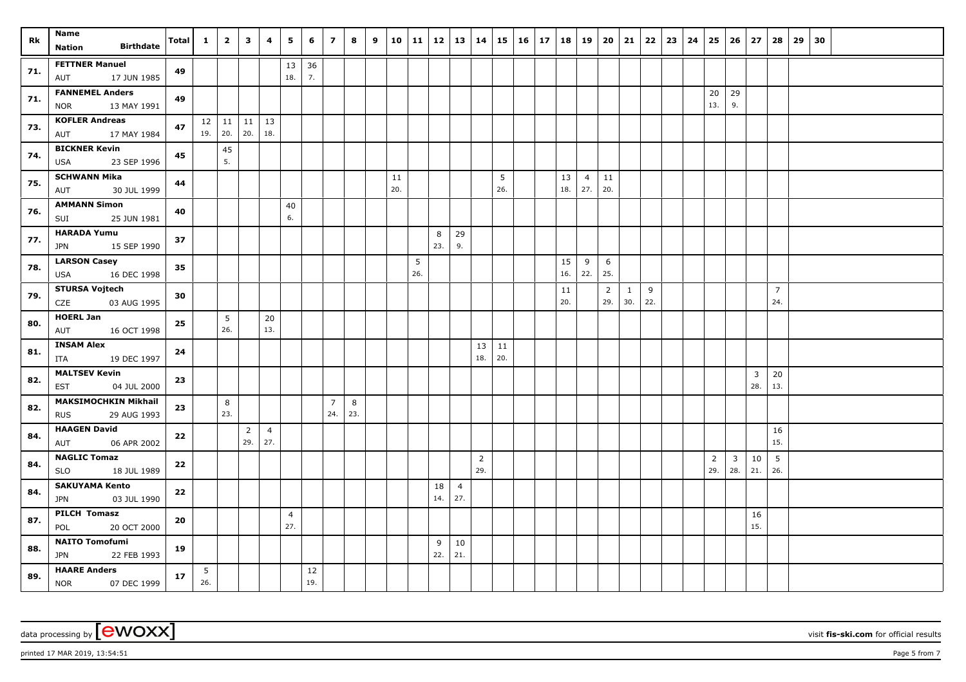| <b>Rk</b> | Name<br><b>Birthdate</b><br><b>Nation</b>          | $\lceil \text{Total} \rceil \mid 1 \mid$ |          | $\overline{2}$ | $\overline{\mathbf{3}}$ | $\overline{4}$ | $5^{\circ}$    | 6             | $\overline{z}$ | 8   | $9 \mid 10$ |     |          |          |                | 11   12   13   14 |     | 15   16   17   18   19   20   21 |           |                |                |              |     | $22 \mid 23 \mid 24$ | 25   26   27    |                         |     | 28             | $29 \mid 30$ |  |  |
|-----------|----------------------------------------------------|------------------------------------------|----------|----------------|-------------------------|----------------|----------------|---------------|----------------|-----|-------------|-----|----------|----------|----------------|-------------------|-----|----------------------------------|-----------|----------------|----------------|--------------|-----|----------------------|-----------------|-------------------------|-----|----------------|--------------|--|--|
|           |                                                    |                                          |          |                |                         |                |                |               |                |     |             |     |          |          |                |                   |     |                                  |           |                |                |              |     |                      |                 |                         |     |                |              |  |  |
| 71.       | <b>FETTNER Manuel</b><br><b>AUT</b><br>17 JUN 1985 | 49                                       |          |                |                         |                | 13<br>18.      | 36<br>7.      |                |     |             |     |          |          |                |                   |     |                                  |           |                |                |              |     |                      |                 |                         |     |                |              |  |  |
|           | <b>FANNEMEL Anders</b>                             |                                          |          |                |                         |                |                |               |                |     |             |     |          |          |                |                   |     |                                  |           |                |                |              |     |                      | 20 <sup>1</sup> | 29                      |     |                |              |  |  |
| 71.       | <b>NOR</b><br>13 MAY 1991                          | 49                                       |          |                |                         |                |                |               |                |     |             |     |          |          |                |                   |     |                                  |           |                |                |              |     |                      | 13.             | 9.                      |     |                |              |  |  |
| 73.       | <b>KOFLER Andreas</b>                              | 47                                       |          |                | $12$   11   11   13     |                |                |               |                |     |             |     |          |          |                |                   |     |                                  |           |                |                |              |     |                      |                 |                         |     |                |              |  |  |
|           | AUT<br>17 MAY 1984                                 |                                          |          | $19.$ 20.      | 20.                     | 18.            |                |               |                |     |             |     |          |          |                |                   |     |                                  |           |                |                |              |     |                      |                 |                         |     |                |              |  |  |
| 74.       | <b>BICKNER Kevin</b>                               | 45                                       |          | 45             |                         |                |                |               |                |     |             |     |          |          |                |                   |     |                                  |           |                |                |              |     |                      |                 |                         |     |                |              |  |  |
|           | 23 SEP 1996<br><b>USA</b>                          |                                          |          | 5.             |                         |                |                |               |                |     |             |     |          |          |                |                   |     |                                  |           |                |                |              |     |                      |                 |                         |     |                |              |  |  |
| 75.       | <b>SCHWANN Mika</b>                                | 44                                       |          |                |                         |                |                |               |                |     |             | 11  |          |          |                |                   | 5   |                                  | 13        | $\overline{4}$ | 11             |              |     |                      |                 |                         |     |                |              |  |  |
|           | 30 JUL 1999<br><b>AUT</b>                          |                                          |          |                |                         |                |                |               |                |     |             | 20. |          |          |                |                   | 26. |                                  | 18.       | 27.            | 20.            |              |     |                      |                 |                         |     |                |              |  |  |
| 76.       | <b>AMMANN Simon</b><br>SUI<br>25 JUN 1981          | 40                                       |          |                |                         |                | 40<br>6.       |               |                |     |             |     |          |          |                |                   |     |                                  |           |                |                |              |     |                      |                 |                         |     |                |              |  |  |
|           | <b>HARADA Yumu</b>                                 |                                          |          |                |                         |                |                |               |                |     |             |     |          |          |                |                   |     |                                  |           |                |                |              |     |                      |                 |                         |     |                |              |  |  |
| 77.       | 15 SEP 1990<br><b>JPN</b>                          | 37                                       |          |                |                         |                |                |               |                |     |             |     |          | 8<br>23. | 29<br>9.       |                   |     |                                  |           |                |                |              |     |                      |                 |                         |     |                |              |  |  |
|           | <b>LARSON Casey</b>                                |                                          |          |                |                         |                |                |               |                |     |             |     |          |          |                |                   |     |                                  |           |                |                |              |     |                      |                 |                         |     |                |              |  |  |
| 78.       | 16 DEC 1998<br>USA                                 | 35                                       |          |                |                         |                |                |               |                |     |             |     | 5<br>26. |          |                |                   |     |                                  | 15<br>16. | 9<br>22.       | 6<br>25.       |              |     |                      |                 |                         |     |                |              |  |  |
|           | <b>STURSA Vojtech</b>                              |                                          |          |                |                         |                |                |               |                |     |             |     |          |          |                |                   |     |                                  | 11        |                | $\overline{2}$ | $\mathbf{1}$ | 9   |                      |                 |                         |     | $\overline{7}$ |              |  |  |
| 79.       | CZE<br>03 AUG 1995                                 | 30                                       |          |                |                         |                |                |               |                |     |             |     |          |          |                |                   |     |                                  | 20.       |                | 29.            | 30.          | 22. |                      |                 |                         |     | 24.            |              |  |  |
|           | <b>HOERL Jan</b>                                   |                                          |          | 5              |                         | 20             |                |               |                |     |             |     |          |          |                |                   |     |                                  |           |                |                |              |     |                      |                 |                         |     |                |              |  |  |
| 80.       | AUT 16 OCT 1998                                    | 25                                       |          | 26.            |                         | 13.            |                |               |                |     |             |     |          |          |                |                   |     |                                  |           |                |                |              |     |                      |                 |                         |     |                |              |  |  |
|           | <b>INSAM Alex</b>                                  |                                          |          |                |                         |                |                |               |                |     |             |     |          |          |                | 13                | 11  |                                  |           |                |                |              |     |                      |                 |                         |     |                |              |  |  |
| 81.       | ITA<br>19 DEC 1997                                 | 24                                       |          |                |                         |                |                |               |                |     |             |     |          |          |                | 18.               | 20. |                                  |           |                |                |              |     |                      |                 |                         |     |                |              |  |  |
| 82.       | <b>MALTSEV Kevin</b>                               | 23                                       |          |                |                         |                |                |               |                |     |             |     |          |          |                |                   |     |                                  |           |                |                |              |     |                      |                 |                         | 3   | 20             |              |  |  |
|           | <b>EST</b><br>04 JUL 2000                          |                                          |          |                |                         |                |                |               |                |     |             |     |          |          |                |                   |     |                                  |           |                |                |              |     |                      |                 |                         | 28. | 13.            |              |  |  |
| 82.       | <b>MAKSIMOCHKIN Mikhail</b>                        | 23                                       |          | 8              |                         |                |                |               | $\overline{7}$ | 8   |             |     |          |          |                |                   |     |                                  |           |                |                |              |     |                      |                 |                         |     |                |              |  |  |
|           | <b>RUS</b><br>29 AUG 1993                          |                                          |          | 23.            |                         |                |                |               | 24.            | 23. |             |     |          |          |                |                   |     |                                  |           |                |                |              |     |                      |                 |                         |     |                |              |  |  |
| 84.       | <b>HAAGEN David</b>                                | 22                                       |          |                | $\overline{2}$          | $\overline{4}$ |                |               |                |     |             |     |          |          |                |                   |     |                                  |           |                |                |              |     |                      |                 |                         |     | 16             |              |  |  |
|           | 06 APR 2002<br>AUT                                 |                                          |          |                | 29.                     | 27.            |                |               |                |     |             |     |          |          |                |                   |     |                                  |           |                |                |              |     |                      |                 |                         |     | 15.            |              |  |  |
| 84.       | <b>NAGLIC Tomaz</b>                                | 22                                       |          |                |                         |                |                |               |                |     |             |     |          |          |                | $\overline{2}$    |     |                                  |           |                |                |              |     |                      | $\overline{2}$  | $\overline{\mathbf{3}}$ | 10  | 5              |              |  |  |
|           | 18 JUL 1989<br><b>SLO</b>                          |                                          |          |                |                         |                |                |               |                |     |             |     |          |          |                | 29.               |     |                                  |           |                |                |              |     |                      | 29.             | 28.                     | 21. | 26.            |              |  |  |
| 84.       | <b>SAKUYAMA Kento</b>                              | 22                                       |          |                |                         |                |                |               |                |     |             |     |          | 18       | $\overline{4}$ |                   |     |                                  |           |                |                |              |     |                      |                 |                         |     |                |              |  |  |
|           | 03 JUL 1990<br><b>JPN</b>                          |                                          |          |                |                         |                |                |               |                |     |             |     |          | 14.      | 27.            |                   |     |                                  |           |                |                |              |     |                      |                 |                         |     |                |              |  |  |
| 87.       | PILCH Tomasz                                       | 20                                       |          |                |                         |                | $\overline{4}$ |               |                |     |             |     |          |          |                |                   |     |                                  |           |                |                |              |     |                      |                 |                         | 16  |                |              |  |  |
|           | POL<br>20 OCT 2000                                 |                                          |          |                |                         |                | 27.            |               |                |     |             |     |          |          |                |                   |     |                                  |           |                |                |              |     |                      |                 |                         | 15. |                |              |  |  |
| 88.       | <b>NAITO Tomofumi</b>                              | 19                                       |          |                |                         |                |                |               |                |     |             |     |          | 9        | 10             |                   |     |                                  |           |                |                |              |     |                      |                 |                         |     |                |              |  |  |
|           | JPN 22 FEB 1993                                    |                                          |          |                |                         |                |                |               |                |     |             |     |          | 22.      | 21.            |                   |     |                                  |           |                |                |              |     |                      |                 |                         |     |                |              |  |  |
| 89.       | <b>HAARE Anders</b><br>NOR 07 DEC 1999             | 17                                       | 5<br>26. |                |                         |                |                | $12\,$<br>19. |                |     |             |     |          |          |                |                   |     |                                  |           |                |                |              |     |                      |                 |                         |     |                |              |  |  |

 $p$ rinted 17 MAR 2019, 13:54:51  $p$ age 5 from 7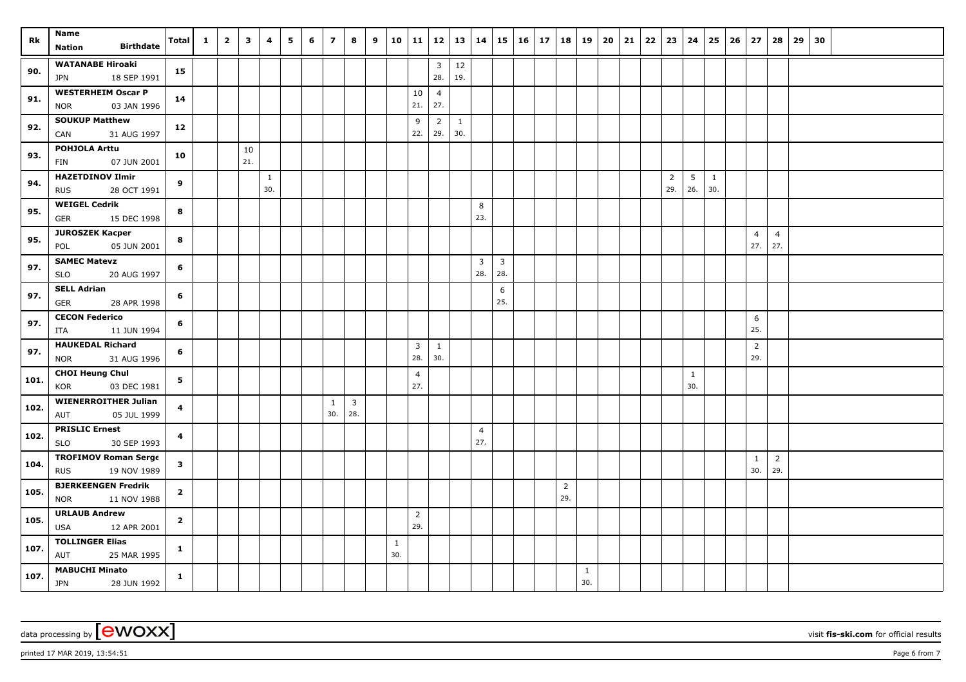| Rk   | Name                                            | <b>Total</b>            | $\mathbf{1}$ | $\overline{\mathbf{2}}$ | $\mathbf{3}$ | 4   | 5 | 6 | $\overline{\phantom{a}}$ | 8                       | 9 | 10           | 11             | 12             | 13  | 14                    |                       | $15 \mid 16 \mid$ | 17 | 18             | $ 19\rangle$ | 20 | 21 | 22 | 23             | 24              | 25           | 26 | 27             | 28                    | 29 | 30 |  |  |
|------|-------------------------------------------------|-------------------------|--------------|-------------------------|--------------|-----|---|---|--------------------------|-------------------------|---|--------------|----------------|----------------|-----|-----------------------|-----------------------|-------------------|----|----------------|--------------|----|----|----|----------------|-----------------|--------------|----|----------------|-----------------------|----|----|--|--|
|      | <b>Birthdate</b><br><b>Nation</b>               |                         |              |                         |              |     |   |   |                          |                         |   |              |                |                |     |                       |                       |                   |    |                |              |    |    |    |                |                 |              |    |                |                       |    |    |  |  |
|      | <b>WATANABE Hiroaki</b>                         |                         |              |                         |              |     |   |   |                          |                         |   |              |                | $\overline{3}$ | 12  |                       |                       |                   |    |                |              |    |    |    |                |                 |              |    |                |                       |    |    |  |  |
| 90.  | 18 SEP 1991<br><b>JPN</b>                       | 15                      |              |                         |              |     |   |   |                          |                         |   |              |                | 28.            | 19. |                       |                       |                   |    |                |              |    |    |    |                |                 |              |    |                |                       |    |    |  |  |
| 91.  | <b>WESTERHEIM Oscar P</b>                       | 14                      |              |                         |              |     |   |   |                          |                         |   |              | 10             | $\overline{4}$ |     |                       |                       |                   |    |                |              |    |    |    |                |                 |              |    |                |                       |    |    |  |  |
|      | 03 JAN 1996<br><b>NOR</b>                       |                         |              |                         |              |     |   |   |                          |                         |   |              | 21.            | 27.            |     |                       |                       |                   |    |                |              |    |    |    |                |                 |              |    |                |                       |    |    |  |  |
| 92.  | <b>SOUKUP Matthew</b>                           | 12                      |              |                         |              |     |   |   |                          |                         |   |              | 9              | $\overline{2}$ | 1   |                       |                       |                   |    |                |              |    |    |    |                |                 |              |    |                |                       |    |    |  |  |
|      | 31 AUG 1997<br>CAN                              |                         |              |                         |              |     |   |   |                          |                         |   |              | 22.            | 29.            | 30. |                       |                       |                   |    |                |              |    |    |    |                |                 |              |    |                |                       |    |    |  |  |
| 93.  | POHJOLA Arttu                                   | 10                      |              |                         | 10           |     |   |   |                          |                         |   |              |                |                |     |                       |                       |                   |    |                |              |    |    |    |                |                 |              |    |                |                       |    |    |  |  |
|      | 07 JUN 2001<br>FIN                              |                         |              |                         | 21.          |     |   |   |                          |                         |   |              |                |                |     |                       |                       |                   |    |                |              |    |    |    |                |                 |              |    |                |                       |    |    |  |  |
| 94.  | <b>HAZETDINOV Ilmir</b>                         | 9                       |              |                         |              | 1   |   |   |                          |                         |   |              |                |                |     |                       |                       |                   |    |                |              |    |    |    | $\overline{2}$ | $5\phantom{.0}$ | $\mathbf{1}$ |    |                |                       |    |    |  |  |
|      | <b>RUS</b><br>28 OCT 1991                       |                         |              |                         |              | 30. |   |   |                          |                         |   |              |                |                |     |                       |                       |                   |    |                |              |    |    |    | 29.            | 26.             | 30.          |    |                |                       |    |    |  |  |
| 95.  | <b>WEIGEL Cedrik</b>                            | 8                       |              |                         |              |     |   |   |                          |                         |   |              |                |                |     | 8                     |                       |                   |    |                |              |    |    |    |                |                 |              |    |                |                       |    |    |  |  |
|      | 15 DEC 1998<br><b>GER</b>                       |                         |              |                         |              |     |   |   |                          |                         |   |              |                |                |     | 23.                   |                       |                   |    |                |              |    |    |    |                |                 |              |    |                |                       |    |    |  |  |
| 95.  | <b>JUROSZEK Kacper</b>                          | 8                       |              |                         |              |     |   |   |                          |                         |   |              |                |                |     |                       |                       |                   |    |                |              |    |    |    |                |                 |              |    | $\overline{4}$ | $\overline{4}$<br>27. |    |    |  |  |
|      | 05 JUN 2001<br>POL                              |                         |              |                         |              |     |   |   |                          |                         |   |              |                |                |     |                       |                       |                   |    |                |              |    |    |    |                |                 |              |    | 27.            |                       |    |    |  |  |
| 97.  | <b>SAMEC Matevz</b>                             | 6                       |              |                         |              |     |   |   |                          |                         |   |              |                |                |     | $\overline{3}$<br>28. | $\overline{3}$<br>28. |                   |    |                |              |    |    |    |                |                 |              |    |                |                       |    |    |  |  |
|      | <b>SLO</b><br>20 AUG 1997<br><b>SELL Adrian</b> |                         |              |                         |              |     |   |   |                          |                         |   |              |                |                |     |                       |                       |                   |    |                |              |    |    |    |                |                 |              |    |                |                       |    |    |  |  |
| 97.  | 28 APR 1998<br><b>GER</b>                       | 6                       |              |                         |              |     |   |   |                          |                         |   |              |                |                |     |                       | 6<br>25.              |                   |    |                |              |    |    |    |                |                 |              |    |                |                       |    |    |  |  |
|      | <b>CECON Federico</b>                           |                         |              |                         |              |     |   |   |                          |                         |   |              |                |                |     |                       |                       |                   |    |                |              |    |    |    |                |                 |              |    | 6              |                       |    |    |  |  |
| 97.  | 11 JUN 1994<br><b>ITA</b>                       | 6                       |              |                         |              |     |   |   |                          |                         |   |              |                |                |     |                       |                       |                   |    |                |              |    |    |    |                |                 |              |    | 25.            |                       |    |    |  |  |
|      | <b>HAUKEDAL Richard</b>                         |                         |              |                         |              |     |   |   |                          |                         |   |              | 3              | $\mathbf{1}$   |     |                       |                       |                   |    |                |              |    |    |    |                |                 |              |    | $\overline{2}$ |                       |    |    |  |  |
| 97.  | 31 AUG 1996<br><b>NOR</b>                       | 6                       |              |                         |              |     |   |   |                          |                         |   |              | 28.            | 30.            |     |                       |                       |                   |    |                |              |    |    |    |                |                 |              |    | 29.            |                       |    |    |  |  |
|      | <b>CHOI Heung Chul</b>                          |                         |              |                         |              |     |   |   |                          |                         |   |              | $\overline{4}$ |                |     |                       |                       |                   |    |                |              |    |    |    |                | $\mathbf{1}$    |              |    |                |                       |    |    |  |  |
| 101. | KOR<br>03 DEC 1981                              | 5 <sub>1</sub>          |              |                         |              |     |   |   |                          |                         |   |              | 27.            |                |     |                       |                       |                   |    |                |              |    |    |    |                | 30.             |              |    |                |                       |    |    |  |  |
|      | <b>WIENERROITHER Julian</b>                     |                         |              |                         |              |     |   |   | $\mathbf{1}$             | $\overline{\mathbf{3}}$ |   |              |                |                |     |                       |                       |                   |    |                |              |    |    |    |                |                 |              |    |                |                       |    |    |  |  |
| 102. | 05 JUL 1999<br>AUT                              | $\overline{\mathbf{4}}$ |              |                         |              |     |   |   | 30.                      | 28.                     |   |              |                |                |     |                       |                       |                   |    |                |              |    |    |    |                |                 |              |    |                |                       |    |    |  |  |
|      | <b>PRISLIC Ernest</b>                           |                         |              |                         |              |     |   |   |                          |                         |   |              |                |                |     | $\overline{4}$        |                       |                   |    |                |              |    |    |    |                |                 |              |    |                |                       |    |    |  |  |
| 102. | 30 SEP 1993<br><b>SLO</b>                       | $\overline{\mathbf{4}}$ |              |                         |              |     |   |   |                          |                         |   |              |                |                |     | 27.                   |                       |                   |    |                |              |    |    |    |                |                 |              |    |                |                       |    |    |  |  |
| 104. | <b>TROFIMOV Roman Serge</b>                     | $\mathbf{3}$            |              |                         |              |     |   |   |                          |                         |   |              |                |                |     |                       |                       |                   |    |                |              |    |    |    |                |                 |              |    | 1              | $\overline{2}$        |    |    |  |  |
|      | 19 NOV 1989<br><b>RUS</b>                       |                         |              |                         |              |     |   |   |                          |                         |   |              |                |                |     |                       |                       |                   |    |                |              |    |    |    |                |                 |              |    | 30.            | 29.                   |    |    |  |  |
| 105. | <b>BJERKEENGEN Fredrik</b>                      | $\overline{2}$          |              |                         |              |     |   |   |                          |                         |   |              |                |                |     |                       |                       |                   |    | $\overline{2}$ |              |    |    |    |                |                 |              |    |                |                       |    |    |  |  |
|      | <b>NOR</b><br>11 NOV 1988                       |                         |              |                         |              |     |   |   |                          |                         |   |              |                |                |     |                       |                       |                   |    | 29.            |              |    |    |    |                |                 |              |    |                |                       |    |    |  |  |
| 105. | <b>URLAUB Andrew</b>                            | $\overline{2}$          |              |                         |              |     |   |   |                          |                         |   |              | $\overline{2}$ |                |     |                       |                       |                   |    |                |              |    |    |    |                |                 |              |    |                |                       |    |    |  |  |
|      | <b>USA</b><br>12 APR 2001                       |                         |              |                         |              |     |   |   |                          |                         |   |              | 29.            |                |     |                       |                       |                   |    |                |              |    |    |    |                |                 |              |    |                |                       |    |    |  |  |
| 107. | <b>TOLLINGER Elias</b>                          | 1                       |              |                         |              |     |   |   |                          |                         |   | $\mathbf{1}$ |                |                |     |                       |                       |                   |    |                |              |    |    |    |                |                 |              |    |                |                       |    |    |  |  |
|      | AUT<br>25 MAR 1995                              |                         |              |                         |              |     |   |   |                          |                         |   | 30.          |                |                |     |                       |                       |                   |    |                |              |    |    |    |                |                 |              |    |                |                       |    |    |  |  |
| 107. | <b>MABUCHI Minato</b>                           | $\mathbf{1}$            |              |                         |              |     |   |   |                          |                         |   |              |                |                |     |                       |                       |                   |    |                | $\mathbf{1}$ |    |    |    |                |                 |              |    |                |                       |    |    |  |  |
|      | <b>JPN</b><br>28 JUN 1992                       |                         |              |                         |              |     |   |   |                          |                         |   |              |                |                |     |                       |                       |                   |    |                | 30.          |    |    |    |                |                 |              |    |                |                       |    |    |  |  |

 $p$ rinted 17 MAR 2019, 13:54:51  $p$ age 6 from 7